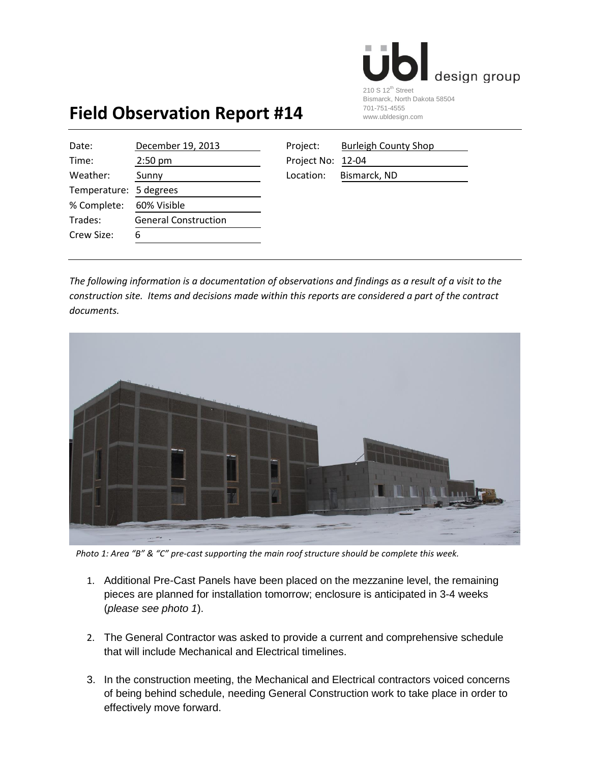

## **Field Observation Report #14**

| Date:                  | December 19, 2013           | Project:          | <b>Burleigh County Shop</b> |
|------------------------|-----------------------------|-------------------|-----------------------------|
| Time:                  | $2:50$ pm                   | Project No: 12-04 |                             |
| Weather:               | Sunny                       | Location:         | Bismarck, ND                |
| Temperature: 5 degrees |                             |                   |                             |
| % Complete:            | 60% Visible                 |                   |                             |
| Trades:                | <b>General Construction</b> |                   |                             |
| Crew Size:             | 6                           |                   |                             |
|                        |                             |                   |                             |

| Project:          | <b>Burleigh County Shop</b> |
|-------------------|-----------------------------|
| Project No: 12-04 |                             |
| Location:         | Bismarck, ND                |

*The following information is a documentation of observations and findings as a result of a visit to the construction site. Items and decisions made within this reports are considered a part of the contract documents.* 



 *Photo 1: Area "B" & "C" pre-cast supporting the main roof structure should be complete this week.*

- 1. Additional Pre-Cast Panels have been placed on the mezzanine level, the remaining pieces are planned for installation tomorrow; enclosure is anticipated in 3-4 weeks (*please see photo 1*).
- 2. The General Contractor was asked to provide a current and comprehensive schedule that will include Mechanical and Electrical timelines.
- 3. In the construction meeting, the Mechanical and Electrical contractors voiced concerns of being behind schedule, needing General Construction work to take place in order to effectively move forward.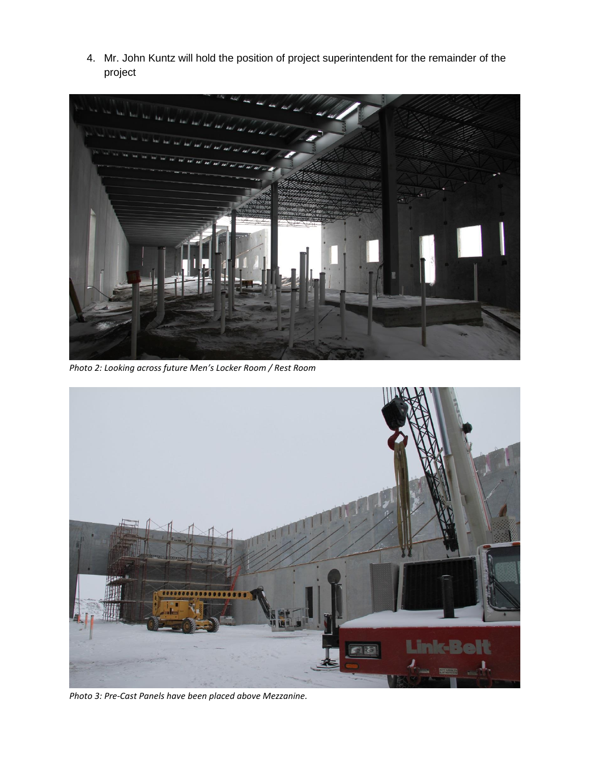4. Mr. John Kuntz will hold the position of project superintendent for the remainder of the project



*Photo 2: Looking across future Men's Locker Room / Rest Room*



*Photo 3: Pre-Cast Panels have been placed above Mezzanine.*